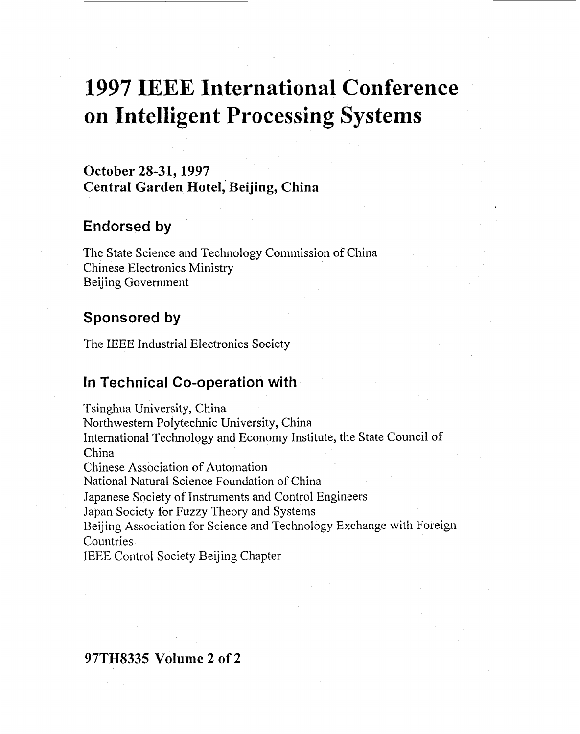# **1997 IEEE International Conference on Intelligent Processing Systems**

# **October 28-31,1997 Central Garden Hotel, Beijing, China**

# **Endorsed by**

The State Science and Technology Commission of China Chinese Electronics Ministry Beijing Government

# **Sponsored by**

The IEEE Industrial Electronics Society

# **In Technical Co-operation with**

Tsinghua University, China Northwestern Polytechnic University, China International Technology and Economy Institute, the State Council of China Chinese Association of Automation National Natural Science Foundation of China Japanese Society of Instruments and Control Engineers Japan Society for Fuzzy Theory and Systems Beijing Association for Science and Technology Exchange with Foreign Countries IEEE Control Society Beijing Chapter

# **97TH8335 Volume 2 of 2**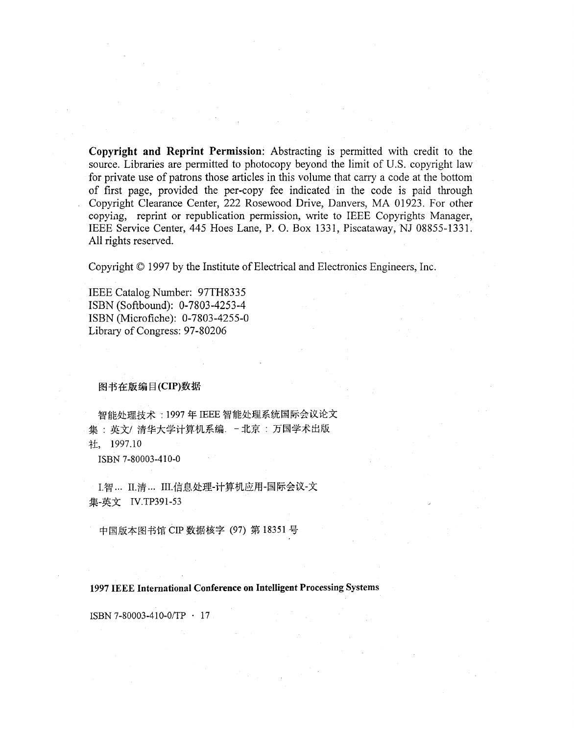**Copyright and Reprint Permission:** Abstracting is permitted with credit to the source. Libraries are permitted to photocopy beyond the limit of U.S. copyright law for private use of patrons those articles in this volume that carry a code at the bottom of first page, provided the per-copy fee indicated in the code is paid through Copyright Clearance Center, 222 Rosewood Drive, Danvers, MA 01923. For other copying, reprint or republication permission, write to IEEE Copyrights Manager, IEEE Service Center, 445 Hoes Lane, P. 0. Box 1331, Piscataway, NJ 08855-1331. All rights reserved.

Copyright *0* 1997 by the Institute of Electrical and Electronics Engineers, Inc.

IEEE Catalog Number: 97TH8335 ISBN (Microfiche): 0-7803-4255-0 Library of Congress: 97-80206 ISBN (Softbound): 0-7803-4253-4

#### 图书在版编目(CIP)数据

智能处理技术 : 1997 年 IEEE 智能处理系统国际会议论文 集:英文/清华大学计算机系编. - 北京: 万国学术出版 社, 1997.10

ISBN 7-80003-410-0

I.智... II.清... III.信息处理-计算机应用-国际会议-文 集-英文 IV.TP391-53

中国版本图书馆 CIP 数据核字 (97) 第 18351 号

**1997 IEEE International Conference on Intelligent Processing Systems** 

ISBN 7-80003-410-0/TP \* **17**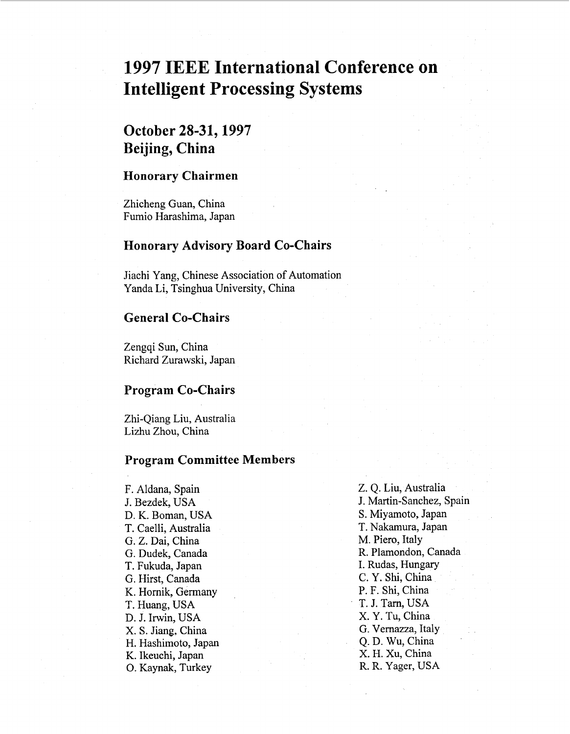# **1997 IEEE International Conference on Intelligent Processing Systems**

# **October 28-31,1997 Beijing, China**

# **Honorary Chairmen**

Zhicheng Guan, China Fumio Harashima, Japan

## **Honorary Advisory Board Co-chairs**

Jiachi Yang, Chinese Association of Automation. Yanda Li, Tsinghua University, China

# **General Co-chairs**

Zengqi Sun, China Richard Zurawski, Japan

# **Program Co-chairs**

Zhi-Qiang Liu, Australia Lizhu Zhou, China

# **Program Committee Members**

F. Aldana, Spain J. Bezdek, USA D. K. Boman, USA T. Caelli, Australia G. Z. Dai, China G. Dudek, Canada T. Fukuda, Japan G. Hirst, Canada K. Hornik, Germany T. Huang, **USA**  D. J. Irwin, USA X. **S.** Jiang, China H. Hashimoto, Japan K. Ikeuchi, Japan 0. Kaynak, Turkey

Z. Q. Liu, Australia J. Martin-Sanchez, Spain **S.** Miyamoto, Japan T. Nakamura, Japan M. Piero, Italy R. Plamondon, Canada I. Rudas, Hungary C. Y. Shi, China P. F. Shi, China T. J. Tarn, USA X. Y, Tu, China G. Vernazza, Italy Q. D. Wu, China X. H. Xu, China R. R. Yager, **USA**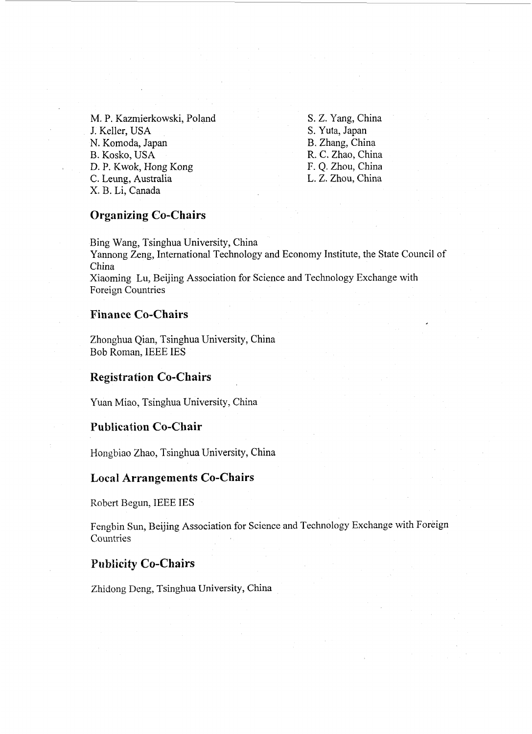M. P. Kazmierkowski, Poland J. Keller, USA N. Komoda, Japan B. Kosko, USA D. P. Kwok, Hong Kong C. Leung, Australia X. B. Li, Canada

**S.** *2.* Yang, China S. Yuta, Japan B. Zhang, China R. C. Zhao, China F. Q. Zhou, China L. *2.* Zhou, China

## **Organizing Co-chairs**

Bing Wang, Tsinghua University, China Yannong Zeng, International Technology and Economy Institute, the State Council of China Xiaoming Lu, Beijing Association for Science and Technology Exchange with Foreign Countries

### **Finance Co-chairs**

Zhonghua Qian, Tsinghua University, China Bob Roman, IEEE IES

#### **Registration Co-chairs**

Yuan Miao, Tsinghua University, China

### **Publication Co-Chair**

Hongbiao Zhao, Tsinghua University, China

#### **Local Arrangements Co-chairs**

Robert Begun, IEEE IES

Fengbin Sun, Beijing Association for Science and Technology Exchange with Foreign Countries

#### **ublicity Co-Chairs**

Zhidong Deng, Tsinghua University, China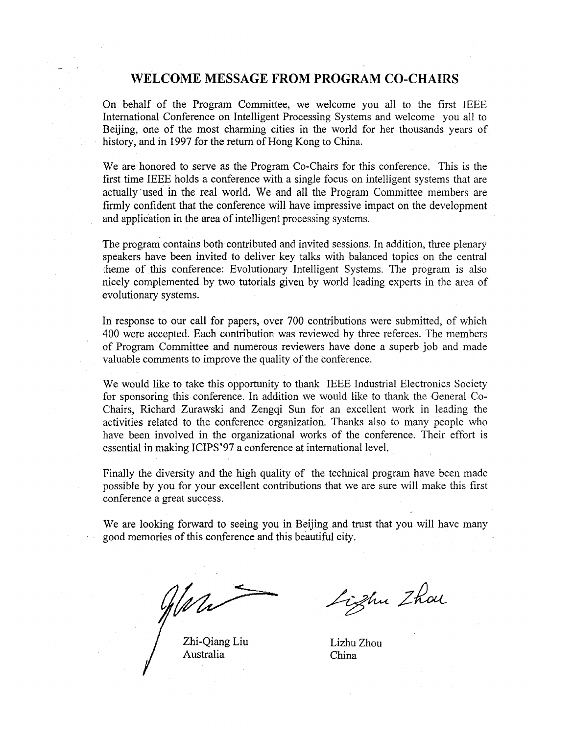# **WELCOME MESSAGE FROM PROGRAM CO-CHAIRS**

On behalf of the Program Committee, we welcome you all to the first IEEE International Conference on Intelligent Processing Systems and welcome you all to Beijing, one of the most charming cities in the world for her thousands years of history, and in 1997 for the return of Hong Kong to China.

We are honored to serve as the Program Co-chairs for this conference. This is the first time IEEE holds a conference with a single focus on intelligent systems that are actually'used in the real world. We and all the Program Committee members are firmly confident that the conference will have impressive impact on the development and application in the area of intelligent processing systems.

The program. contains both contributed and invited sessions. In addition, three plenary speakers have been invited to deliver key talks with balanced topics on the central [heme of this conference: Evolutionary Intelligent Systems. The program is also nicely complemented by two tutorials given by world leading experts in the area of evolutionary systems.

In response to our call for papers, over 700 contributions were submitted, of which 400 were accepted. Each contribution was reviewed by three referees. The members of Program Committee and numerous reviewers have done a superb job and made valuable comments to improve the quality of the conference.

We would like to take this opportunity to thank IEEE Industrial Electronics Society for sponsoring this conference. In addition we would like to thank the General CO-Chairs, Richard Zurawski and Zengqi Sun for an excellent work in leading the activities related to the conference organization. Thanks also to many people who have been involved in the organizational works of the conference. Their effort is essential in making ICIPS'97 a conference at international level.

Finally the diversity and the high quality of the technical program have been made possible by you for your excellent contributions that we are sure will make this first conference a great success.

We are looking forward to seeing you in Beijing and trust that you will have many good memories of this conference and this beautiful city.

 $\mathcal{U}$ 

Zhi-Qiang Liu Lizhu Zhou Australia China *China* 

Lizhu Zhou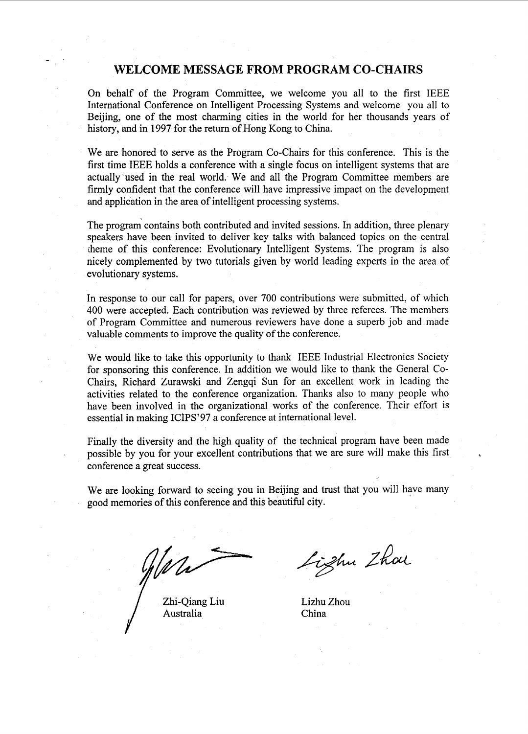### **WELCOME MESSAGE FROM PROGRAM CO-CHAIRS**

On behalf of the Program Committee, we welcome you all to the first IEEE International Conference on Intelligent Processing Systems and welcome you all to Beijing, one of the most charming cities in the world for her thousands years of history, and in **1997** for the return of Hong Kong to China.

We are honored to serve as the Program Co-chairs for this conference. This is the first time IEEE holds a conference with a single focus on intelligent systems that are actually'used in the real world. We and all the Program Committee members are firmly confident that the conference will have impressive impact on the development and application in the area of intelligent processing systems.

The program contains both contributed and invited sessions. In addition, three plenary speakers have been invited to deliver key talks with balanced topics on the central [heme of this conference: Evolutionary Intelligent Systems. The program is also nicely complemented by two tutorials given by world leading experts in the area of evolutionary systems.

In response to our call for papers, over 700 contributions were submitted, of which 400 were accepted. Each contribution was reviewed by three referees. The members of Program Committee and numerous reviewers have done a superb job and made valuable comments to improve the quality of the conference.

We would like to take this opportunity to thank IEEE Industrial Electronics Society for sponsoring this conference. In addition we would like to thank the General CO-Chairs, Richard Zurawski and Zengqi Sun for an excellent work in leading the activities related to the conference organization. Thanks also to many people who have been involved in the organizational works of the conference. Their effort is essential in making **ICIPS'97** a conference at international level.

Finally the diversity and the high quality of the technical program have been made possible by you for your excellent contributions that we are sure will make this first conference a great success.

We are looking forward to seeing you in Beijing and trust that you will have many good memories of this conference and this beautiful city.

Zhi-Oiang Liu Australia

Lizhu Zhou

Lizhu Zhou China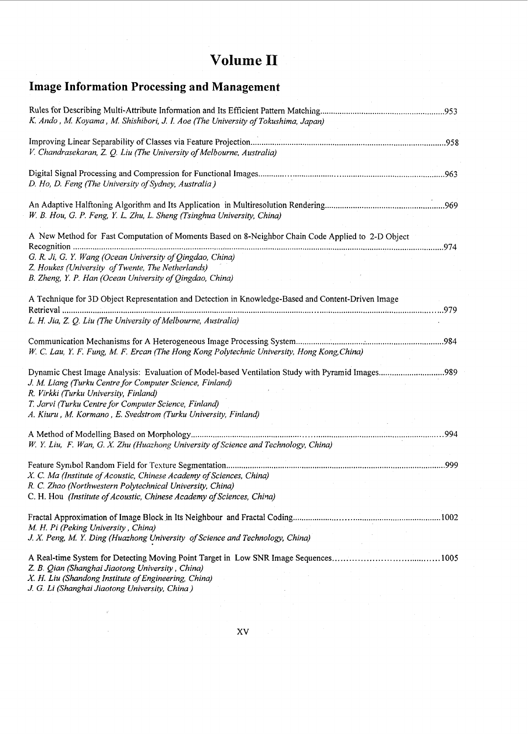# **Volume I1**

# **Image Information Processing and Management**

| K. Ando, M. Koyama, M. Shishibori, J. I. Aoe (The University of Tokushima, Japan)                                                 |                 |
|-----------------------------------------------------------------------------------------------------------------------------------|-----------------|
|                                                                                                                                   |                 |
| V. Chandrasekaran, Z. Q. Liu (The University of Melbourne, Australia)                                                             |                 |
|                                                                                                                                   |                 |
| D. Ho, D. Feng (The University of Sydney, Australia)                                                                              |                 |
|                                                                                                                                   | 969             |
| W. B. Hou, G. P. Feng, Y. L. Zhu, L. Sheng (Tsinghua University, China)                                                           |                 |
| A New Method for Fast Computation of Moments Based on 8-Neighbor Chain Code Applied to 2-D Object                                 |                 |
| G. R. Ji, G. Y. Wang (Ocean University of Qingdao, China)<br>Z. Houkes (University of Twente, The Netherlands)                    |                 |
| B. Zheng, Y. P. Han (Ocean University of Qingdao, China)                                                                          |                 |
| A Technique for 3D Object Representation and Detection in Knowledge-Based and Content-Driven Image                                |                 |
|                                                                                                                                   | .979            |
| L. H. Jia, Z. Q. Liu (The University of Melbourne, Australia)                                                                     |                 |
|                                                                                                                                   |                 |
| W. C. Lau, Y. F. Fung, M. F. Ercan (The Hong Kong Polytechnic University, Hong Kong, China)                                       |                 |
|                                                                                                                                   |                 |
| J. M. Liang (Turku Centre for Computer Science, Finland)<br>R. Virkki (Turku University, Finland)                                 |                 |
| T. Jarvi (Turku Centre for Computer Science, Finland)                                                                             |                 |
| A. Kiuru, M. Kormano, E. Svedstrom (Turku University, Finland)                                                                    |                 |
|                                                                                                                                   | .994            |
| W. Y. Liu, F. Wan, G. X. Zhu (Huazhong University of Science and Technology, China)                                               |                 |
|                                                                                                                                   | .999            |
| X. C. Ma (Institute of Acoustic, Chinese Academy of Sciences, China)<br>R. C. Zhao (Northwestern Polytechnical University, China) |                 |
| C. H. Hou (Institute of Acoustic, Chinese Academy of Sciences, China)                                                             |                 |
|                                                                                                                                   |                 |
| M. H. Pi (Peking University, China)                                                                                               |                 |
| J. X. Peng, M. Y. Ding (Huazhong University of Science and Technology, China)                                                     |                 |
| A Real-time System for Detecting Moving Point Target in Low SNR Image Sequences                                                   | $\ldots$ . 1005 |
| Z. B. Qian (Shanghai Jiaotong University, China)                                                                                  |                 |
| X. H. Liu (Shandong Institute of Engineering, China)<br>J. G. Li (Shanghai Jiaotong University, China)                            |                 |

 $\bar{r}$ 

 $\mathcal{L}^{\mathcal{L}}$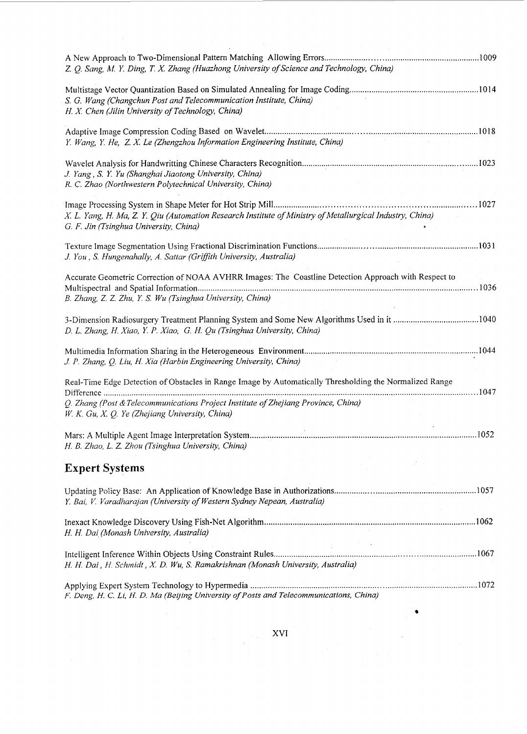| Z. Q. Sang, M. Y. Ding, T. X. Zhang (Huazhong University of Science and Technology, China)                                                                         |  |
|--------------------------------------------------------------------------------------------------------------------------------------------------------------------|--|
| S. G. Wang (Changchun Post and Telecommunication Institute, China)<br>H. X. Chen (Jilin University of Technology, China)                                           |  |
| Y. Wang, Y. He, Z. X. Le (Zhengzhou Information Engineering Institute, China)                                                                                      |  |
| J. Yang, S. Y. Yu (Shanghai Jiaotong University, China)<br>R. C. Zhao (Northwestern Polytechnical University, China)                                               |  |
| X. L. Yang, H. Ma, Z. Y. Qiu (Automation Research Institute of Ministry of Metallurgical Industry, China)<br>G. F. Jin (Tsinghua University, China)                |  |
| J. You, S. Hungenahally, A. Sattar (Griffith University, Australia)                                                                                                |  |
| Accurate Geometric Correction of NOAA AVHRR Images: The Coastline Detection Approach with Respect to<br>B. Zhang, Z. Z. Zhu, Y. S. Wu (Tsinghua University, China) |  |
| D. L. Zhang, H. Xiao, Y. P. Xiao, G. H. Qu (Tsinghua University, China)                                                                                            |  |
| J. P. Zhang, Q. Liu, H. Xia (Harbin Engineering University, China)                                                                                                 |  |
| Real-Time Edge Detection of Obstacles in Range Image by Automatically Thresholding the Normalized Range                                                            |  |
| Q. Zhang (Post & Telecommunications Project Institute of Zhejiang Province, China)<br>W. K. Gu, X. O. Ye (Zhejiang University, China)                              |  |
| H. B. Zhao, L. Z. Zhou (Tsinghua University, China)                                                                                                                |  |
| a na Palawana.<br>Mga kalawana<br><b>Expert Systems</b>                                                                                                            |  |
| Y. Bai, V. Varadharajan (University of Western Sydney Nepean, Australia)                                                                                           |  |
| H. H. Dai (Monash University, Australia)                                                                                                                           |  |
| H. H. Dai, H. Schmidt, X. D. Wu, S. Ramakrishnan (Monash University, Australia)                                                                                    |  |
| F. Deng, H. C. Li, H. D. Ma (Beijing University of Posts and Telecommunications, China)                                                                            |  |

\*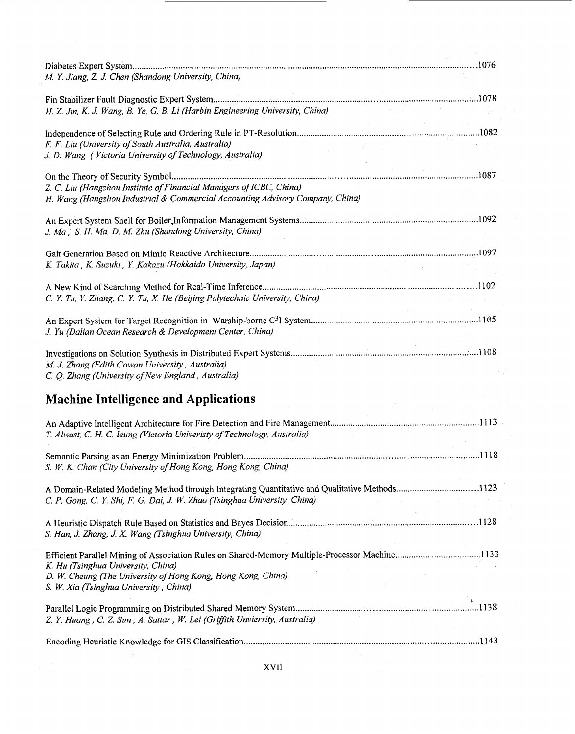| M. Y. Jiang, Z. J. Chen (Shandong University, China)                                                                                                                                                                                           |      |
|------------------------------------------------------------------------------------------------------------------------------------------------------------------------------------------------------------------------------------------------|------|
| H. Z. Jin, K. J. Wang, B. Ye, G. B. Li (Harbin Engineering University, China)                                                                                                                                                                  |      |
| F. F. Liu (University of South Australia, Australia)<br>J. D. Wang (Victoria University of Technology, Australia)                                                                                                                              |      |
| Z. C. Liu (Hangzhou Institute of Financial Managers of ICBC, China)<br>H. Wang (Hangzhou Industrial & Commercial Accounting Advisory Company, China)                                                                                           | 1087 |
| J. Ma, S. H. Ma, D. M. Zhu (Shandong University, China)                                                                                                                                                                                        |      |
| K. Takita, K. Suzuki, Y. Kakazu (Hokkaido University, Japan)                                                                                                                                                                                   |      |
| C. Y. Tu, Y. Zhang, C. Y. Tu, X. He (Beijing Polytechnic University, China)                                                                                                                                                                    |      |
| J. Yu (Dalian Ocean Research & Development Center, China)                                                                                                                                                                                      |      |
| M. J. Zhang (Edith Cowan University, Australia)<br>C. Q. Zhang (University of New England, Australia)                                                                                                                                          |      |
| <b>Machine Intelligence and Applications</b>                                                                                                                                                                                                   |      |
| T. Alwast, C. H. C. leung (Victoria Univeristy of Technology, Australia)                                                                                                                                                                       |      |
| S. W. K. Chan (City University of Hong Kong, Hong Kong, China)                                                                                                                                                                                 |      |
| A Domain-Related Modeling Method through Integrating Quantitative and Qualitative Methods1123<br>C. P. Gong, C. Y. Shi, F. G. Dai, J. W. Zhao (Tsinghua University, China)                                                                     |      |
| S. Han, J. Zhang, J. X. Wang (Tsinghua University, China)                                                                                                                                                                                      |      |
| Efficient Parallel Mining of Association Rules on Shared-Memory Multiple-Processor Machine1133<br>K. Hu (Tsinghua University, China)<br>D. W. Cheung (The University of Hong Kong, Hong Kong, China)<br>S. W. Xia (Tsinghua University, China) |      |
| Z. Y. Huang, C. Z. Sun, A. Sattar, W. Lei (Griffith Unviersity, Australia)                                                                                                                                                                     |      |
|                                                                                                                                                                                                                                                |      |